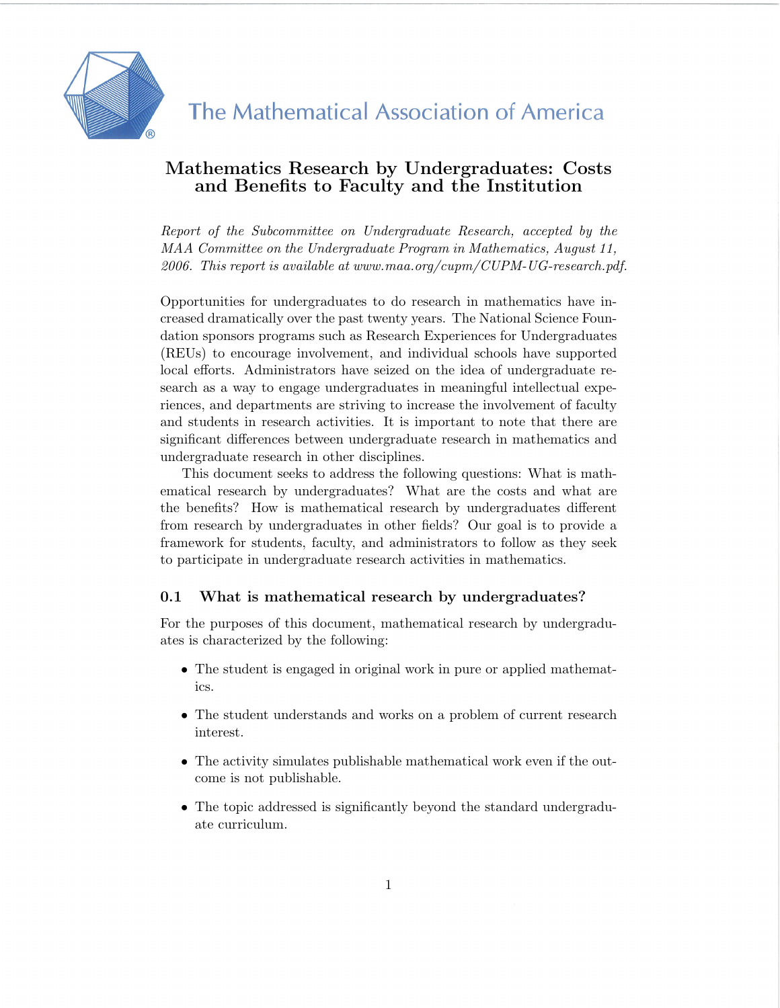

## Mathematics Research by Undergraduates: Costs and Benefits to Faculty and the Institution

Report of the Subcommittee on Undergraduate Research, accepted by the MAA Committee on the Undergraduate Program in Mathematics, August 11, 2006. This report is available at www.maa.org/cupm/CUPM-UG-research.pdf.

Opportunities for undergraduates to do research in mathematics have increased dramatically over the past twenty years. The National Science Foundation sponsors programs such as Research Experiences for Undergraduates (REUs) to encourage involvement, and individual schools have supported local efforts. Administrators have seized on the idea of undergraduate research as a way to engage undergraduates in meaningful intellectual experiences, and departments are striving to increase the involvement of faculty and students in research activities. It is important to note that there are significant differences between undergraduate research in mathematics and undergraduate research in other disciplines.

This document seeks to address the following questions: What is mathematical research by undergraduates? What are the costs and what are the benefits? How is mathematical research by undergraduates different from research by undergraduates in other fields? Our goal is to provide a framework for students, faculty, and administrators to follow as they seek to participate in undergraduate research activities in mathematics.

## 0.1 What is mathematical research by undergraduates?

For the purposes of this document, mathematical research by undergraduates is characterized by the following:

- The student is engaged in original work in pure or applied mathematics.
- The student understands and works on a problem of current research interest.
- The activity simulates publishable mathematical work even if the outcome is not publishable.
- The topic addressed is significantly beyond the standard undergraduate curriculum.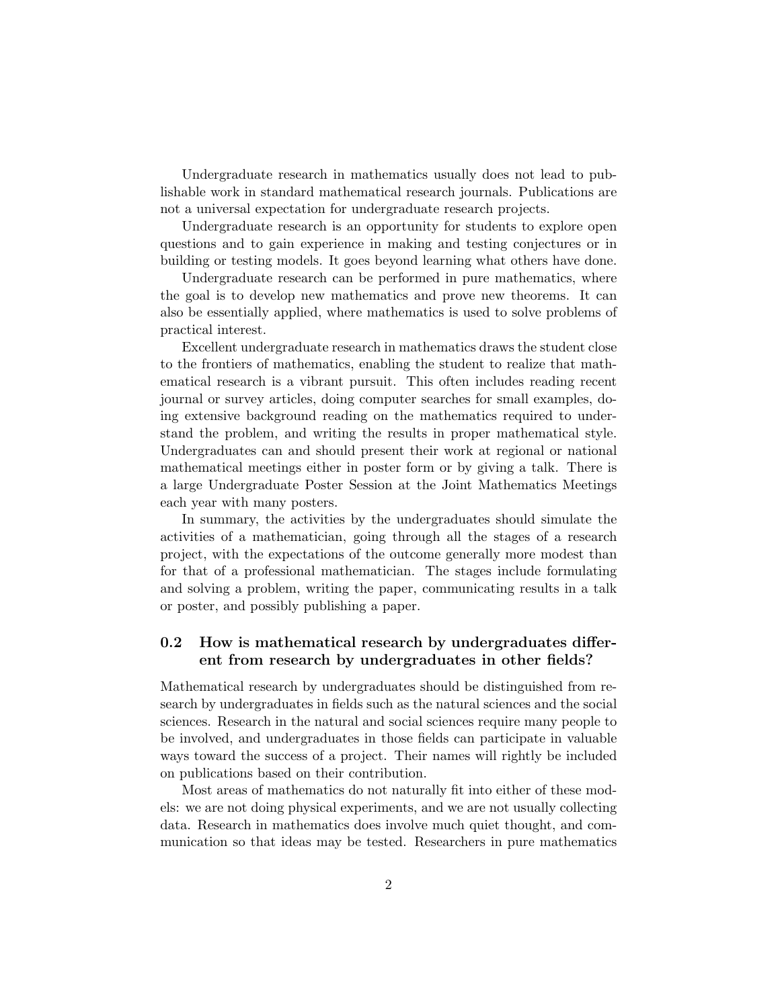Undergraduate research in mathematics usually does not lead to publishable work in standard mathematical research journals. Publications are not a universal expectation for undergraduate research projects.

Undergraduate research is an opportunity for students to explore open questions and to gain experience in making and testing conjectures or in building or testing models. It goes beyond learning what others have done.

Undergraduate research can be performed in pure mathematics, where the goal is to develop new mathematics and prove new theorems. It can also be essentially applied, where mathematics is used to solve problems of practical interest.

Excellent undergraduate research in mathematics draws the student close to the frontiers of mathematics, enabling the student to realize that mathematical research is a vibrant pursuit. This often includes reading recent journal or survey articles, doing computer searches for small examples, doing extensive background reading on the mathematics required to understand the problem, and writing the results in proper mathematical style. Undergraduates can and should present their work at regional or national mathematical meetings either in poster form or by giving a talk. There is a large Undergraduate Poster Session at the Joint Mathematics Meetings each year with many posters.

In summary, the activities by the undergraduates should simulate the activities of a mathematician, going through all the stages of a research project, with the expectations of the outcome generally more modest than for that of a professional mathematician. The stages include formulating and solving a problem, writing the paper, communicating results in a talk or poster, and possibly publishing a paper.

## 0.2 How is mathematical research by undergraduates different from research by undergraduates in other fields?

Mathematical research by undergraduates should be distinguished from research by undergraduates in fields such as the natural sciences and the social sciences. Research in the natural and social sciences require many people to be involved, and undergraduates in those fields can participate in valuable ways toward the success of a project. Their names will rightly be included on publications based on their contribution.

Most areas of mathematics do not naturally fit into either of these models: we are not doing physical experiments, and we are not usually collecting data. Research in mathematics does involve much quiet thought, and communication so that ideas may be tested. Researchers in pure mathematics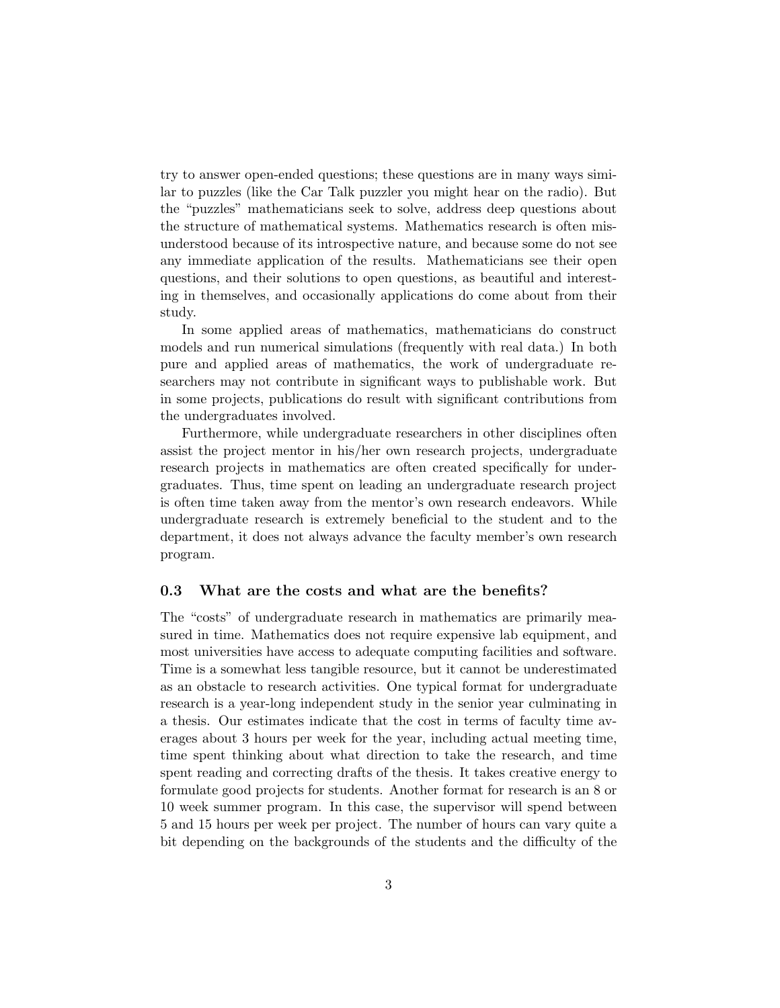try to answer open-ended questions; these questions are in many ways similar to puzzles (like the Car Talk puzzler you might hear on the radio). But the "puzzles" mathematicians seek to solve, address deep questions about the structure of mathematical systems. Mathematics research is often misunderstood because of its introspective nature, and because some do not see any immediate application of the results. Mathematicians see their open questions, and their solutions to open questions, as beautiful and interesting in themselves, and occasionally applications do come about from their study.

In some applied areas of mathematics, mathematicians do construct models and run numerical simulations (frequently with real data.) In both pure and applied areas of mathematics, the work of undergraduate researchers may not contribute in significant ways to publishable work. But in some projects, publications do result with significant contributions from the undergraduates involved.

Furthermore, while undergraduate researchers in other disciplines often assist the project mentor in his/her own research projects, undergraduate research projects in mathematics are often created specifically for undergraduates. Thus, time spent on leading an undergraduate research project is often time taken away from the mentor's own research endeavors. While undergraduate research is extremely beneficial to the student and to the department, it does not always advance the faculty member's own research program.

## 0.3 What are the costs and what are the benefits?

The "costs" of undergraduate research in mathematics are primarily measured in time. Mathematics does not require expensive lab equipment, and most universities have access to adequate computing facilities and software. Time is a somewhat less tangible resource, but it cannot be underestimated as an obstacle to research activities. One typical format for undergraduate research is a year-long independent study in the senior year culminating in a thesis. Our estimates indicate that the cost in terms of faculty time averages about 3 hours per week for the year, including actual meeting time, time spent thinking about what direction to take the research, and time spent reading and correcting drafts of the thesis. It takes creative energy to formulate good projects for students. Another format for research is an 8 or 10 week summer program. In this case, the supervisor will spend between 5 and 15 hours per week per project. The number of hours can vary quite a bit depending on the backgrounds of the students and the difficulty of the